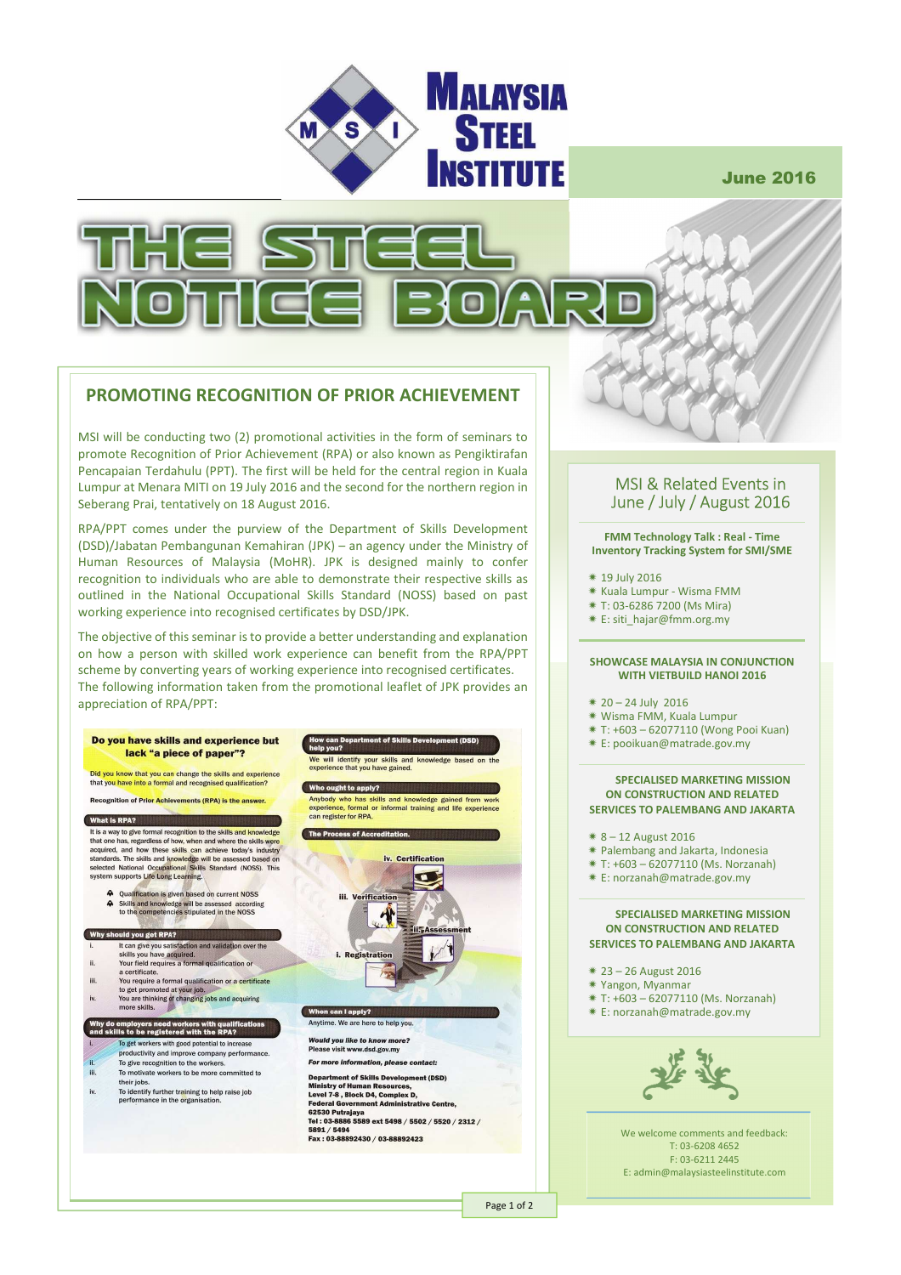

June 2016



## **PROMOTING RECOGNITION OF PRIOR ACHIEVEMENT**

MSI will be conducting two (2) promotional activities in the form of seminars to promote Recognition of Prior Achievement (RPA) or also known as Pengiktirafan Pencapaian Terdahulu (PPT). The first will be held for the central region in Kuala Lumpur at Menara MITI on 19 July 2016 and the second for the northern region in Seberang Prai, tentatively on 18 August 2016.

RPA/PPT comes under the purview of the Department of Skills Development (DSD)/Jabatan Pembangunan Kemahiran (JPK) – an agency under the Ministry of Human Resources of Malaysia (MoHR). JPK is designed mainly to confer recognition to individuals who are able to demonstrate their respective skills as outlined in the National Occupational Skills Standard (NOSS) based on past working experience into recognised certificates by DSD/JPK.

The objective of this seminar is to provide a better understanding and explanation on how a person with skilled work experience can benefit from the RPA/PPT scheme by converting years of working experience into recognised certificates. The following information taken from the promotional leaflet of JPK provides an appreciation of RPA/PPT:



### MSI & Related Events in June / July / August 2016

**FMM Technology Talk : Real - Time Inventory Tracking System for SMI/SME** 

- 19 July 2016
- Kuala Lumpur Wisma FMM
- T: 03-6286 7200 (Ms Mira)
- E: siti\_hajar@fmm.org.my

#### **SHOWCASE MALAYSIA IN CONJUNCTION WITH VIETBUILD HANOI 2016**

- $* 20 24$  July 2016
- Wisma FMM, Kuala Lumpur
- T: +603 62077110 (Wong Pooi Kuan)
- E: pooikuan@matrade.gov.my

### **SPECIALISED MARKETING MISSION ON CONSTRUCTION AND RELATED**

- **SERVICES TO PALEMBANG AND JAKARTA**
- 8 12 August 2016
- Palembang and Jakarta, Indonesia
- $* T: +603 62077110$  (Ms. Norzanah)
- E: norzanah@matrade.gov.my

#### **SPECIALISED MARKETING MISSION ON CONSTRUCTION AND RELATED SERVICES TO PALEMBANG AND JAKARTA**

- 23 26 August 2016
- Yangon, Myanmar
- T: +603 62077110 (Ms. Norzanah)
- E: norzanah@matrade.gov.my



We welcome comments and feedback: T: 03-6208 4652 F: 03-6211 2445 E: admin@malaysiasteelinstitute.com